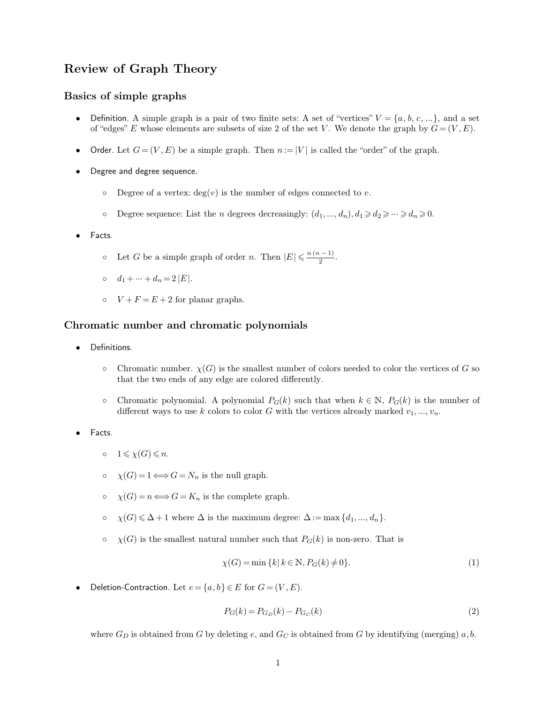## **Review of Graph Theory Review of Graph Theory**<br>**Basics of simple graphs**<br>• Definition. A simple graph is a p

- **Definition.** A simple graph is a pair of two finite sets: A set of "vertices"  $V = \{a, b, c, ...\}$ , and a set of "edges" E whose elements are subsets of size 2 of the set V. We denote the graph by  $G = (V, E)$ . **asics of simple graphs**<br>
• Definition. A simple graph is a pair of two finite sets: A set of "vertices"  $V = \{a, b, c, ...\}$ , and a set<br>
of "edges" E whose elements are subsets of size 2 of the set V. We denote the graph by  $G$
- Order. Let  $G = (V, E)$  be a simple graph. Then  $n := |V|$  is called the "order" of the graph.<br>Degree and degree sequence.<br>  $\circ$  Degree of a vertex: deg(*v*) is the number of edges connected to *v*.<br>  $\circ$  Degree sequence: List
- -
- <ul>\n<li>• Degree and degree sequence.</li>\n<li>• Degree of a vertex: deg(v) is the number of edges connected to v.</li>\n<li>• Degree sequence: List the <i>n</i> degrees decreasingly: <math display="inline">(d\_1, ..., d\_n), d\_1 \geq d\_2 \geq \cdots \geq d\_n \geq 0</math>.</li>\n<li>• Facts.</li>\n</ul>
- 
- Degree sequence: List the *n* degrees decreasingly:  $(d_1, ..., d_n)$ ,<br>ts.<br> $\circ$  Let *G* be a simple graph of order *n*. Then  $|E| \le \frac{n(n-1)}{2}$ .  $\frac{n(n-1)}{2}$ . ts.<br> **d**<sub>1</sub> + ⋅⋅⋅ + *d*<sub>*n*</sub> = 2 |*E* |.<br> **c**  $V + F = E + 2$  for planar graphs.
	-
	-

## $d_1 + \cdots + d_n = 2 |E|.$ <br>  $\circ$   $V + F = E + 2$  for planar graphs.<br> **Chromatic number and chromatic polynomials**<br>
• Definitions.

- Definitions.
- Finitions.<br>
Finitions.<br>  $\circ$  Chromatic number.  $\chi(G)$  is the smallest number of colors needed to color the vertices of *G* so that the two ends of any edge are colored differently. that the two ends of any edge are colored differently.<br>
Thromatic number.  $\chi(G)$  is the smallest number of colors that the two ends of any edge are colored differently.
- Chromatic number.  $χ(G)$  is the smallest number of colors needed to color the vertices of *G* so that the two ends of any edge are colored differently.<br>
 Chromatic polynomial. A polynomial  $P_G(k)$  such that when  $k \in \math$ different ways to use *k* colors to color *G* with the vertices of *G* is that the two ends of any edge are colored differently.<br>
The vertices of *G* is the number of chromatic polynomial. A polynomial  $P_G(k)$  such that wh
- - $0 \quad 1 \leqslant \chi(G) \leqslant n.$
	-
- (*G*)  $\leq n$ .<br>
(*G*) = 1  $\Longleftrightarrow G = N_n$  is the null graph.<br>
(*G*) = *n*  $\Longleftrightarrow G = K_n$  is the complete graph.
	-
- 0  $\chi(G) = 1 \Longleftrightarrow G = N_n$  is the null graph.<br>
0  $\chi(G) = n \Longleftrightarrow G = K_n$  is the complete graph.<br>
0  $\chi(G) \le \Delta + 1$  where  $\Delta$  is the maximum degree:  $\Delta := \max \{d_1, ..., d_n\}$ .<br>
0  $\chi(G)$  is the smallest natural number such that  $P_G(k)$  is non-zero o  $\chi(G)$  is the smallest natural number such that  $P_G(k)$  is non-zero. That is<br>  $\chi(G) = \min \{k | k \in \mathbb{N}, P_G(k) \neq 0\}.$  (1)<br>
● Deletion-Contraction. Let  $e = \{a, b\} \in E$  for  $G = (V, E).$ <br>  $P_G(k) = P_{G_D}(k) - P_{G_C}(k)$  (2)

the maximum degree: 
$$
\Delta := \max \{d_1, ..., d_n\}.
$$
  
al number such that  $P_G(k)$  is non-zero. That is  
 $\chi(G) = \min \{k | k \in \mathbb{N}, P_G(k) \neq 0\}.$  (1)

$$
P_G(k) = P_{G_D}(k) - P_{G_C}(k)
$$
\n(2)

Deletion-Contraction. Let  $e = \{a, b\} \in E$  for  $G = (V, E)$ .<br>  $P_G(k) = P_{G_D}(k) - P_{G_C}(k)$  (2)<br>
where  $G_D$  is obtained from *G* by deleting *e*, and  $G_C$  is obtained from *G* by identifying (merging) *a*, *b*.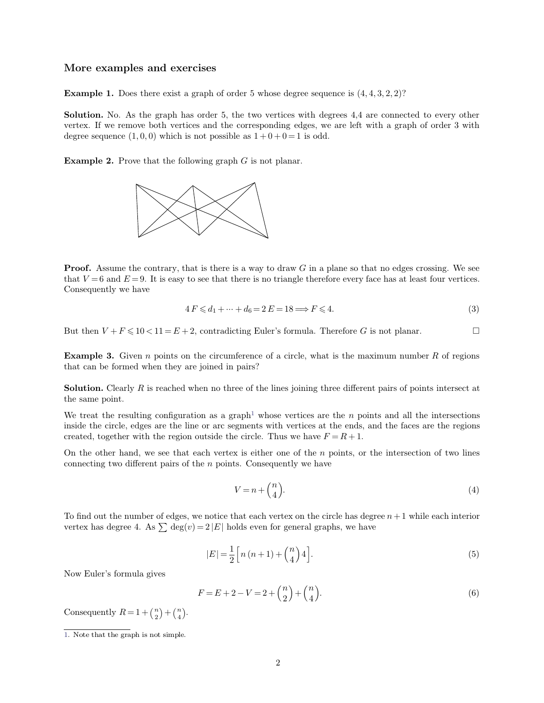## **More examples and exercises**

**Example 1.** Does there exist a graph of order 5 whose degree sequence is  $(4, 4, 3, 2, 2)$ ?<br> **Solution.** No. As the graph has order 5, the two vertices with degrees 4.4 are connected to every other **Solution.** No. As the graph has order 5, the two vertices with degrees 4,4 are connected to every other vertex. If we remove both vertices and the corresponding edges, we are left with a graph of order 3 with **Example 1.** Does there exist a graph of order 5 whose degree sequence is  $(4, 4, 3, 2, 2)$ ?<br>**Solution.** No. As the graph has order 5, the two vertices with degrees 4,4 are connected to every other vertex. If we remove bo **Example 1.** Does there exist a graph of order 5 whose degree sequence is **Solution.** No. As the graph has order 5, the two vertices with degrees vertex. If we remove both vertices and the corresponding edges, we are degr **Solution.** No. As the graph has order 5, the two vertices with vertex. If we remove both vertices and the corresponding edges, degree sequence  $(1,0,0)$  which is not possible as  $1+0+0=1$  is oc<br>**Example 2.** Prove that th



**Proof.** Assume the contrary, that is there is a way to draw *G* in a plane so that no edges crossing. We see that  $V = 6$  and  $E = 9$ . It is easy to see that there is no triangle therefore every face has at least four vert **Proof.** Assume the contrary, that is there is a way to draw *G* in a plane so that no edges crossing. We see that  $V = 6$  and  $E = 9$ . It is easy to see that there is no triangle therefore every face has at least four vert **Proof.** Assume the contrary, that  $V = 6$  and  $E = 9$ . It is eas Consequently we have hat is there is a way to draw *G* in a plane so that no edges crossing. We see<br>to see that there is no triangle therefore every face has at least four vertices.<br> $4 F \leq d_1 + \dots + d_6 = 2 E = 18 \Longrightarrow F \leq 4.$  (3) that  $V = 6$  and  $E = 9$ . It is easy to see that there is no triangle therefore every face has at least four vertices.<br>Consequently we have<br> $4 F \leq d_1 + \dots + d_6 = 2 E = 18 \Longrightarrow F \leq 4.$  (3)<br>But then  $V + F \leq 10 < 11 = E + 2$ , contradicting

$$
4 F \leq d_1 + \dots + d_6 = 2 E = 18 \Longrightarrow F \leq 4. \tag{3}
$$

But then  $V + F \le 10 < 11 = E + 2$ , contradicting Euler's formula. Therefore *G* is not planar.  $\Box$ <br>**Example 3.** Given *n* points on the circumference of a circle, what is the maximum number *R* of regions But then  $V + F \le 10 < 11 = E + 2$ , contradicting Euler's formula. Therefore G is not planar.

**Example 3.** Given *n* points on the circumference of a circle, what is the maximum number *R* of regions that can be formed when they are joined in pairs?<br>**Solution.** Clearly *R* is reached when no three of the lines joi

that can be formed when they are joined in pairs?<br> **Solution.** Clearly R is reached when no three of the lines joining three different pairs of points intersect at the same point.<br>
We treat the resulting configuration as

**Solution.** Clearly  $R$  is reached when no three of the lines joining three different pairs of points intersect at the same point.<br>We treat the resulting configuration as a graph<sup>1</sup> whose vertices are the  $n$  points and a **Solution.** Clearly *R* is reached when no three of the lines joining three different pairs of points intersect at the same point.<br>We treat the resulting configuration as a graph<sup>1</sup> whose vertices are the *n* points and a **Solution.** Clearly *R* is reached when no three of the lines joining three different pairs of points intersect at the same point.<br>We treat the resulting configuration as a graph<sup>1</sup> whose vertices are the *n* points and a inside the circle, edges are the line or arc segments with vertices at the ends, and the faces are the regions created, together with the region outside the circle. Thus we have  $F = R + 1$ .<br>On the other hand, we see that ea

<span id="page-1-0"></span>
$$
V = n + \binom{n}{4}.\tag{4}
$$

To find out the number of edges, we notice that each vertex on the circle has degree  $n+1$  while each interior vertex has degree 4. As  $\sum \deg(v) = 2 |E|$  holds even for general graphs, we have  $\deg(v) = 2 |E|$  holds even for general graphs, we have Now Euler's formula gives<br>Now Euler's formula gives

re notice that each vertex on the circle has degree 
$$
n + 1
$$
 while each interior  
\n $= 2 |E|$  holds even for general graphs, we have  
\n
$$
|E| = \frac{1}{2} \Big[ n (n + 1) + {n \choose 4} 4 \Big].
$$
\n(5)  
\n $F = E + 2 - V = 2 + {n \choose 2} + {n \choose 4}.$ 

$$
F = E + 2 - V = 2 + {n \choose 2} + {n \choose 4}.
$$
\n(6)

Now Euler's formula gives<br>
Consequently  $R = 1 + {n \choose 2} + {n \choose 4}$ .  $\binom{n}{2} + \binom{n}{4}.$ [1.](#page-1-0) Note that the graph is not simple.<br>
1. Note that the graph is not simple.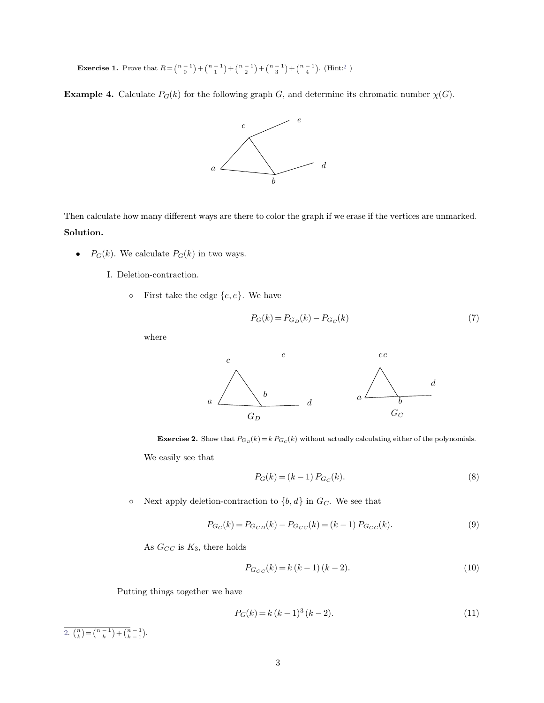**Exercise 1.** Prove that  $R = \binom{n-1}{0} + \binom{n-1}{1}$  ${n-1 \choose 0} + {n-1 \choose 1} + {n-1 \choose 2} + {n-1 \choose 3} + {n-1 \choose 4}$ . (Hint:<sup>2</sup> . (Hint:<sup>2</sup> )

**Example 4.** Calculate  $P_G(k)$  for the following graph *G*, and determine its chromatic number  $\chi(G)$ .

<span id="page-2-0"></span>

Then calculate how many different ways are there to color the graph if we erase if the vertices are unmarked. **Solution. Pg**(*k*). We calculate *P<sub>G</sub>*(*k*) in two ways.

- - I. Deletion-contraction.
- First take the edge  $\{c, e\}$ . We have<br>  $\sum_{n=0}^{\infty}$  First take the edge  $\{c, e\}$ . We have

$$
P_G(k) = P_{G_D}(k) - P_{G_C}(k)
$$
\n(7)

where



$$
P_G(k) = (k-1) P_{G_C}(k). \tag{8}
$$

We easily see that<br>  $P_G(k)=(k-1)\,P_{G_C}(k).$  one Next apply deletion-contraction to<br>  $\{b,d\}$  in  $G_C.$  We see that Next apply deletion-contraction to<br>  $P_{G_C}(k) = P_{G_{CD}}(k)$  As  $G_{CC}$  is  $K_3$  <br>there holds

$$
P_{G_C}(k) = P_{G_{CD}}(k) - P_{G_{CC}}(k) = (k-1) P_{G_{CC}}(k).
$$
\n(9)

$$
P_{G_{CC}}(k) = k (k - 1) (k - 2).
$$
 (10)

As  $G_{CC}$  is  $K_3$ , there holds<br> $P_{G_{CC}}(R)$ <br>Putting things together we have

$$
P_G(k) = k (k-1)^3 (k-2).
$$
\n(11)

[2.](#page-2-0)  $\binom{n}{k} = \binom{n-1}{k} + \binom{n-1}{k-1}.$